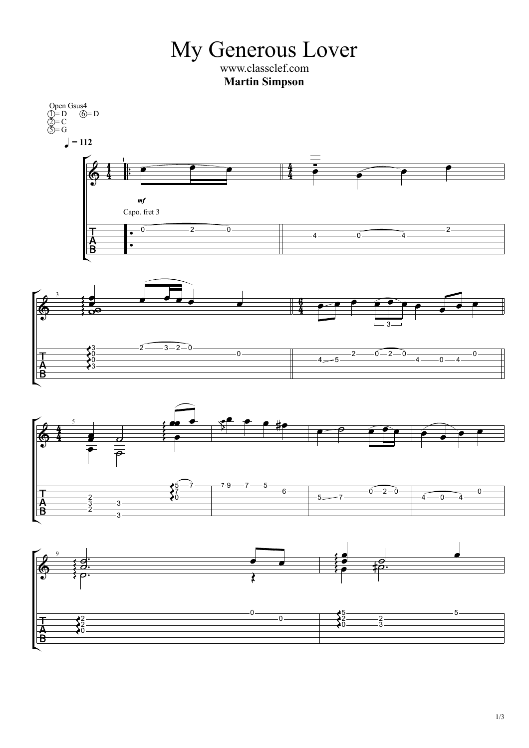My Generous Lover

www.classclef.com **Martin Simpson**

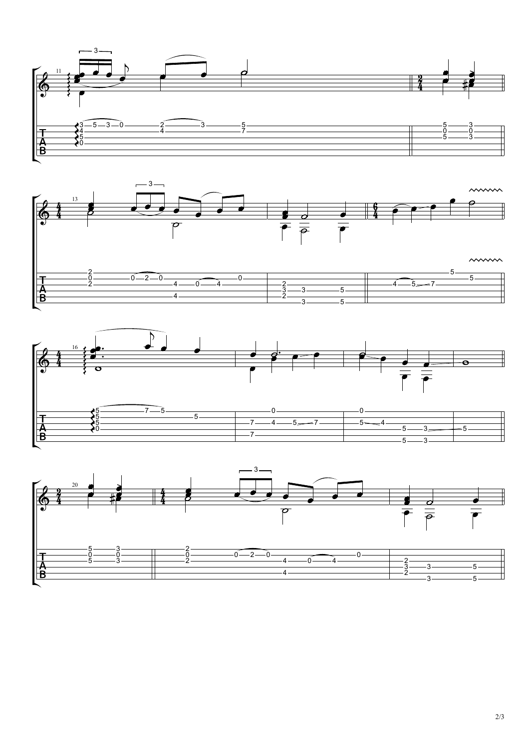